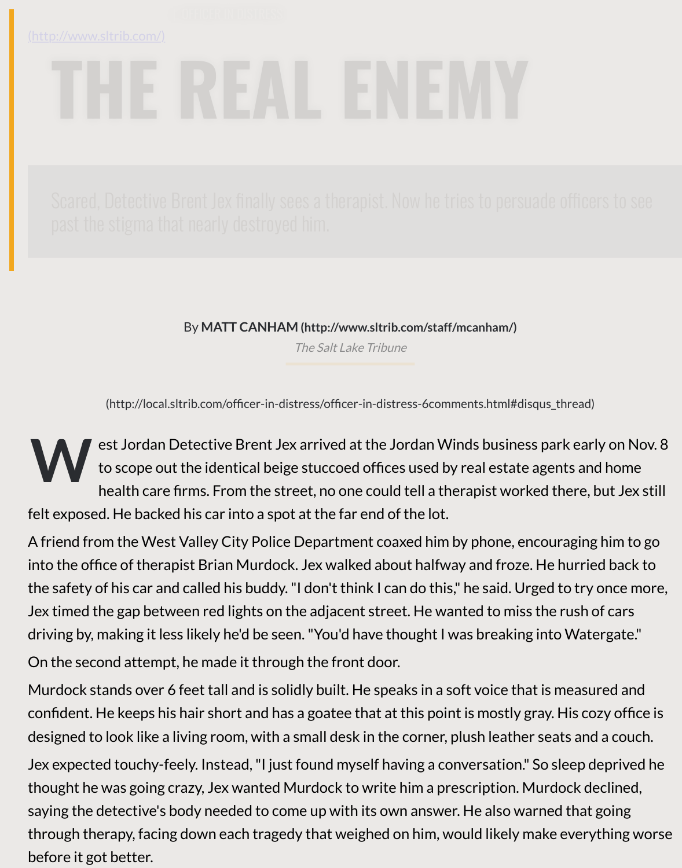By **MATT CANHAM (http://www.sltrib.com/staff/mcanham/)**

The Salt Lake Tribune

(http://local.sltrib.com/officer-in-distress/officer-in-distress-6comments.html#disqus\_th

**W** est Jordan Detective Brent Jex arrived at the Jordan Winds business park to scope out th[e identical beige stuccoed offices used by real estat](http://www.sltrib.com/staff/mcanham/)e agent health care firms. From the str[eet, no one could t](https://www.sltrib.com/)ell a therapist worked the felt exposed. He backed his car into a spot at the far end of the lot.

A friend from the West Valley City Police Department coaxed him by phone, encoura into the office of therapist Brian Murdock. Jex walked about halfway and froze. He he the safety of his car and called his buddy. "I don't think I can do this," he said. Urged to Jex timed the gap between red lights on the adjacent street. He wanted to miss the ru driving by, making it less likely he'd be seen. "You'd have thought I was breaking into \ On the second attempt, he made it through the front door.

Murdock stands over 6 feet tall and is solidly built. He speaks in a soft voice that is measured and confident. He keeps his hair short and has a goatee that at this point is mostly gray. H designed to look like a living room, with a small desk in the corner, plush leather seats

Jex expected touchy-feely. Instead, "I just found myself having a conversation." So sle thought he was going crazy, Jex wanted Murdock to write him a prescription. Murdo saying the detective's body needed to come up with its own answer. He also warned through therapy, facing down each tragedy that weighed on him, would likely make e before it got better.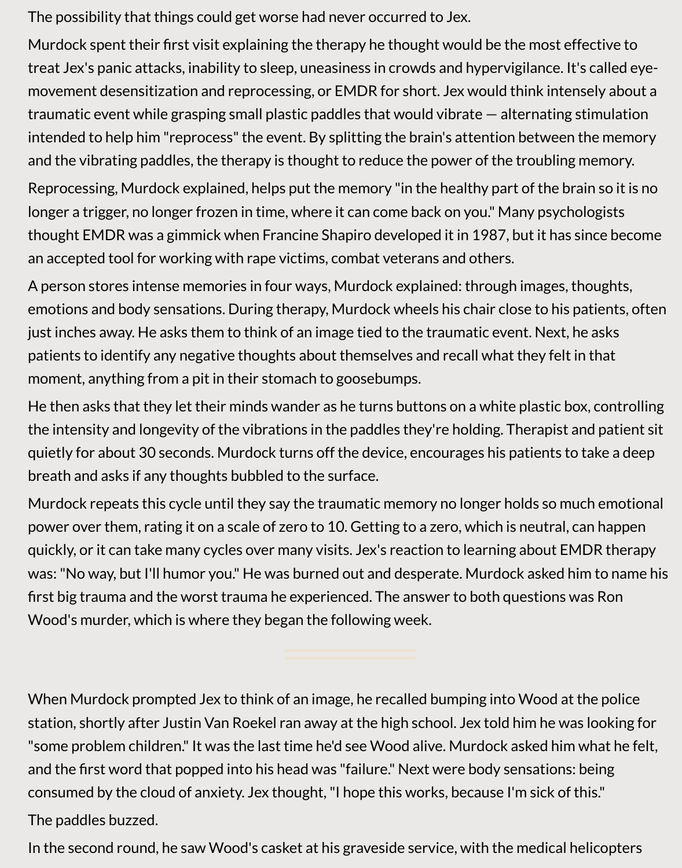The possibility that things could get worse had never occurred to Jex.

Murdock spent their first visit explaining the therapy he thought would be the most effective to treat Jex's panic attacks, inability to sleep, uneasiness in crowds and hypervigilance. It's called eyemovement desensitization and reprocessing, or EMDR for short. Jex would think intensely about a traumatic event while grasping small plastic paddles that would vibrate — alternating stimulation intended to help him "reprocess" the event. By splitting the brain's attention between the memory and the vibrating paddles, the therapy is thought to reduce the power of the troubling memory.

Reprocessing, Murdock explained, helps put the memory "in the healthy part of the brain so it is no longer a trigger, no longer frozen in time, where it can come back on you." Many psychologists thought EMDR was a gimmick when Francine Shapiro developed it in 1987, but it has since become an accepted tool for working with rape victims, combat veterans and others.

A person stores intense memories in four ways, Murdock explained: through images, thoughts, emotions and body sensations. During therapy, Murdock wheels his chair close to his patients, often just inches away. He asks them to think of an image tied to the traumatic event. Next, he asks patients to identify any negative thoughts about themselves and recall what they felt in that moment, anything from a pit in their stomach to goosebumps.

He then asks that they let their minds wander as he turns buttons on a white plastic box, controlling the intensity and longevity of the vibrations in the paddles they're holding. Therapist and patient sit quietly for about 30 seconds. Murdock turns off the device, encourages his patients to take a deep breath and asks if any thoughts bubbled to the surface.

Murdock repeats this cycle until they say the traumatic memory no longer holds so much emotional power over them, rating it on a scale of zero to 10. Getting to a zero, which is neutral, can happen quickly, or it can take many cycles over many visits. Jex's reaction to learning about EMDR therapy was: "No way, but I'll humor you." He was burned out and desperate. Murdock asked him to name his first big trauma and the worst trauma he experienced. The answer to both questions was Ron Wood's murder, which is where they began the following week.

When Murdock prompted Jex to think of an image, he recalled bumping into Wood at the police station, shortly after Justin Van Roekel ran away at the high school. Jex told him he was looking for "some problem children." It was the last time he'd see Wood alive. Murdock asked him what he felt, and the first word that popped into his head was "failure." Next were body sensations: being consumed by the cloud of anxiety. Jex thought, "I hope this works, because I'm sick of this." The paddles buzzed.

In the second round, he saw Wood's casket at his graveside service, with the medical helicopters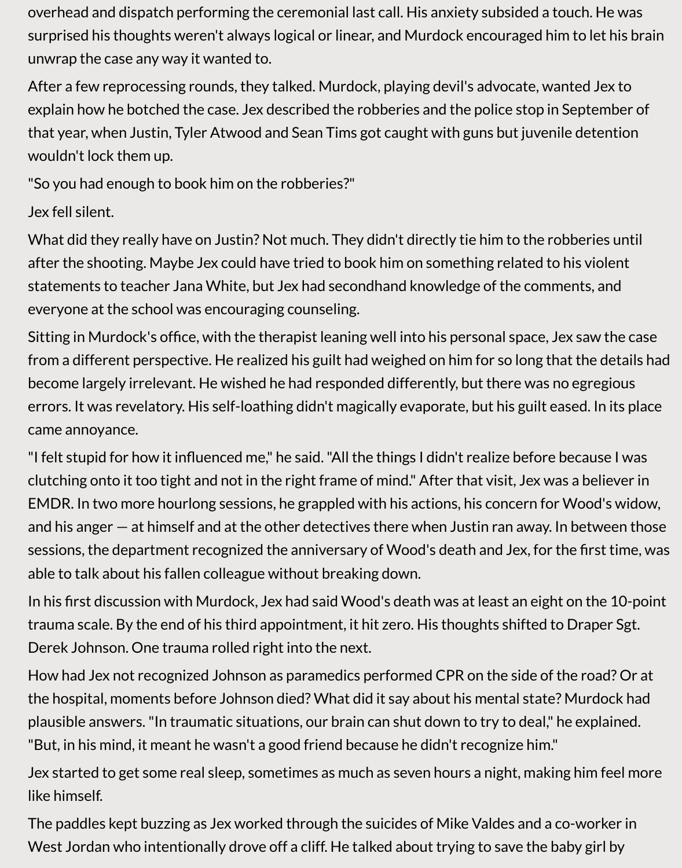overhead and dispatch performing the ceremonial last call. His anxiety subsided a touch. He was surprised his thoughts weren't always logical or linear, and Murdock encouraged him to let his brain unwrap the case any way it wanted to.

After a few reprocessing rounds, they talked. Murdock, playing devil's advocate, wanted Jex to explain how he botched the case. Jex described the robberies and the police stop in September of that year, when Justin, Tyler Atwood and Sean Tims got caught with guns but juvenile detention wouldn't lock them up.

"So you had enough to book him on the robberies?"

## Jex fell silent.

What did they really have on Justin? Not much. They didn't directly tie him to the robberies until after the shooting. Maybe Jex could have tried to book him on something related to his violent statements to teacher Jana White, but Jex had secondhand knowledge of the comments, and everyone at the school was encouraging counseling.

Sitting in Murdock's office, with the therapist leaning well into his personal space, Jex saw the case from a different perspective. He realized his guilt had weighed on him for so long that the details had become largely irrelevant. He wished he had responded differently, but there was no egregious errors. It was revelatory. His self-loathing didn't magically evaporate, but his guilt eased. In its place came annoyance.

"I felt stupid for how it influenced me," he said. "All the things I didn't realize before because I was clutching onto it too tight and not in the right frame of mind." After that visit, Jex was a believer in EMDR. In two more hourlong sessions, he grappled with his actions, his concern for Wood's widow, and his anger — at himself and at the other detectives there when Justin ran away. In between those sessions, the department recognized the anniversary of Wood's death and Jex, for the first time, was able to talk about his fallen colleague without breaking down.

In his first discussion with Murdock, Jex had said Wood's death was at least an eight on the 10-point trauma scale. By the end of his third appointment, it hit zero. His thoughts shifted to Draper Sgt. Derek Johnson. One trauma rolled right into the next.

How had Jex not recognized Johnson as paramedics performed CPR on the side of the road? Or at the hospital, moments before Johnson died? What did it say about his mental state? Murdock had plausible answers. "In traumatic situations, our brain can shut down to try to deal," he explained. "But, in his mind, it meant he wasn't a good friend because he didn't recognize him."

Jex started to get some real sleep, sometimes as much as seven hours a night, making him feel more like himself.

The paddles kept buzzing as Jex worked through the suicides of Mike Valdes and a co-worker in West Jordan who intentionally drove off a cliff. He talked about trying to save the baby girl by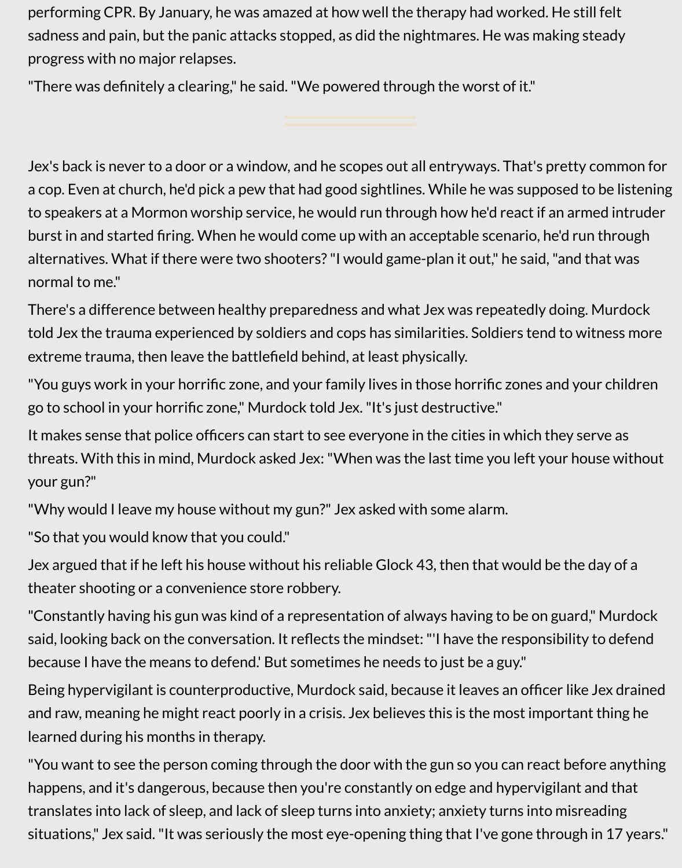performing CPR. By January, he was amazed at how well the therapy had worked. He still felt sadness and pain, but the panic attacks stopped, as did the nightmares. He was making steady progress with no major relapses.

"There was definitely a clearing," he said. "We powered through the worst of it."

Jex's back is never to a door or a window, and he scopes out all entryways. That's pretty common for a cop. Even at church, he'd pick a pew that had good sightlines. While he was supposed to be listening to speakers at a Mormon worship service, he would run through how he'd react if an armed intruder burst in and started firing. When he would come up with an acceptable scenario, he'd run through alternatives. What if there were two shooters? "I would game-plan it out," he said, "and that was normal to me."

There's a difference between healthy preparedness and what Jex was repeatedly doing. Murdock told Jex the trauma experienced by soldiers and cops has similarities. Soldiers tend to witness more extreme trauma, then leave the battlefield behind, at least physically.

"You guys work in your horrific zone, and your family lives in those horrific zones and your children go to school in your horrific zone," Murdock told Jex. "It's just destructive."

It makes sense that police officers can start to see everyone in the cities in which they serve as threats. With this in mind, Murdock asked Jex: "When was the last time you left your house without your gun?"

"Why would I leave my house without my gun?" Jex asked with some alarm.

"So that you would know that you could."

Jex argued that if he left his house without his reliable Glock 43, then that would be the day of a theater shooting or a convenience store robbery.

"Constantly having his gun was kind of a representation of always having to be on guard," Murdock said, looking back on the conversation. It reflects the mindset: "'I have the responsibility to defend because I have the means to defend.' But sometimes he needs to just be a guy."

Being hypervigilant is counterproductive, Murdock said, because it leaves an officer like Jex drained and raw, meaning he might react poorly in a crisis. Jex believes this is the most important thing he learned during his months in therapy.

"You want to see the person coming through the door with the gun so you can react before anything happens, and it's dangerous, because then you're constantly on edge and hypervigilant and that translates into lack of sleep, and lack of sleep turns into anxiety; anxiety turns into misreading situations," Jex said. "It was seriously the most eye-opening thing that I've gone through in 17 years."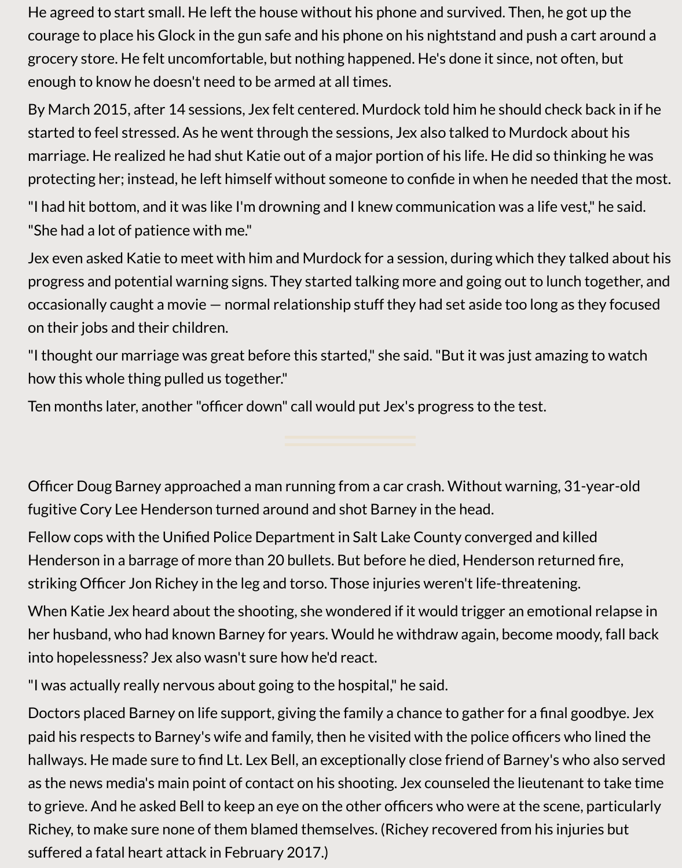He agreed to start small. He left the house without his phone and survived. Then, he got up the courage to place his Glock in the gun safe and his phone on his nightstand and push a cart around a grocery store. He felt uncomfortable, but nothing happened. He's done it since, not often, but enough to know he doesn't need to be armed at all times.

By March 2015, after 14 sessions, Jex felt centered. Murdock told him he should check back in if he started to feel stressed. As he went through the sessions, Jex also talked to Murdock about his marriage. He realized he had shut Katie out of a major portion of his life. He did so thinking he was protecting her; instead, he left himself without someone to confide in when he needed that the most.

"I had hit bottom, and it was like I'm drowning and I knew communication was a life vest," he said. "She had a lot of patience with me."

Jex even asked Katie to meet with him and Murdock for a session, during which they talked about his progress and potential warning signs. They started talking more and going out to lunch together, and occasionally caught a movie — normal relationship stuff they had set aside too long as they focused on their jobs and their children.

"I thought our marriage was great before this started," she said. "But it was just amazing to watch how this whole thing pulled us together."

Ten months later, another "officer down" call would put Jex's progress to the test.

Officer Doug Barney approached a man running from a car crash. Without warning, 31-year-old fugitive Cory Lee Henderson turned around and shot Barney in the head.

Fellow cops with the Unified Police Department in Salt Lake County converged and killed Henderson in a barrage of more than 20 bullets. But before he died, Henderson returned fire, striking Officer Jon Richey in the leg and torso. Those injuries weren't life-threatening.

When Katie Jex heard about the shooting, she wondered if it would trigger an emotional relapse in her husband, who had known Barney for years. Would he withdraw again, become moody, fall back into hopelessness? Jex also wasn't sure how he'd react.

"I was actually really nervous about going to the hospital," he said.

Doctors placed Barney on life support, giving the family a chance to gather for a final goodbye. Jex paid his respects to Barney's wife and family, then he visited with the police officers who lined the hallways. He made sure to find Lt. Lex Bell, an exceptionally close friend of Barney's who also served as the news media's main point of contact on his shooting. Jex counseled the lieutenant to take time to grieve. And he asked Bell to keep an eye on the other officers who were at the scene, particularly Richey, to make sure none of them blamed themselves. (Richey recovered from his injuries but suffered a fatal heart attack in February 2017.)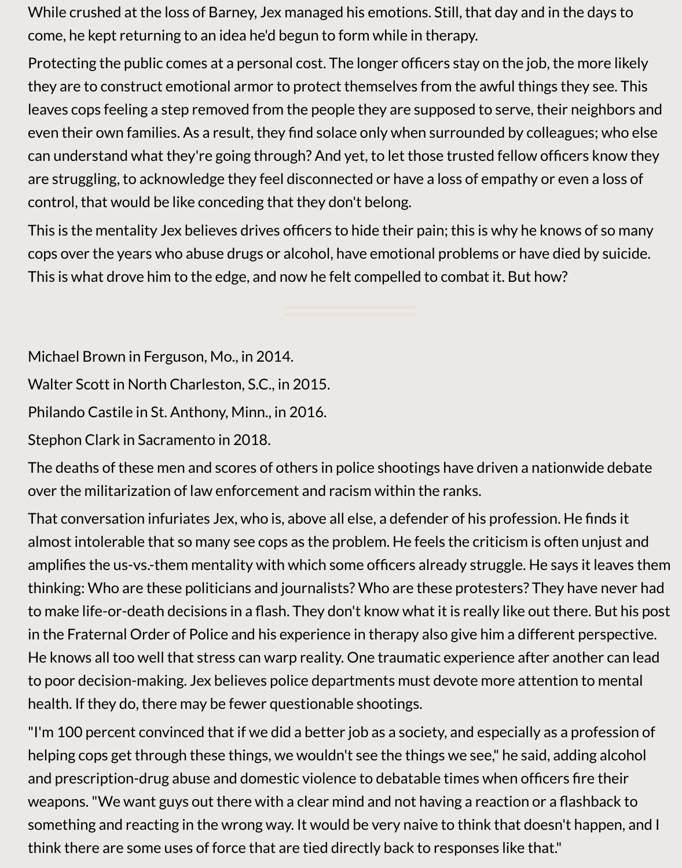While crushed at the loss of Barney, Jex managed his emotions. Still, that day and in the days to come, he kept returning to an idea he'd begun to form while in therapy.

Protecting the public comes at a personal cost. The longer officers stay on the job, the more likely they are to construct emotional armor to protect themselves from the awful things they see. This leaves cops feeling a step removed from the people they are supposed to serve, their neighbors and even their own families. As a result, they find solace only when surrounded by colleagues; who else can understand what they're going through? And yet, to let those trusted fellow officers know they are struggling, to acknowledge they feel disconnected or have a loss of empathy or even a loss of control, that would be like conceding that they don't belong.

This is the mentality Jex believes drives officers to hide their pain; this is why he knows of so many cops over the years who abuse drugs or alcohol, have emotional problems or have died by suicide. This is what drove him to the edge, and now he felt compelled to combat it. But how?

Michael Brown in Ferguson, Mo., in 2014.

Walter Scott in North Charleston, S.C., in 2015.

Philando Castile in St. Anthony, Minn., in 2016.

Stephon Clark in Sacramento in 2018.

The deaths of these men and scores of others in police shootings have driven a nationwide debate over the militarization of law enforcement and racism within the ranks.

That conversation infuriates Jex, who is, above all else, a defender of his profession. He finds it almost intolerable that so many see cops as the problem. He feels the criticism is often unjust and amplifies the us-vs.-them mentality with which some officers already struggle. He says it leaves them thinking: Who are these politicians and journalists? Who are these protesters? They have never had to make life-or-death decisions in a flash. They don't know what it is really like out there. But his post in the Fraternal Order of Police and his experience in therapy also give him a different perspective. He knows all too well that stress can warp reality. One traumatic experience after another can lead to poor decision-making. Jex believes police departments must devote more attention to mental health. If they do, there may be fewer questionable shootings.

"I'm 100 percent convinced that if we did a better job as a society, and especially as a profession of helping cops get through these things, we wouldn't see the things we see," he said, adding alcohol and prescription-drug abuse and domestic violence to debatable times when officers fire their weapons. "We want guys out there with a clear mind and not having a reaction or a flashback to something and reacting in the wrong way. It would be very naive to think that doesn't happen, and I think there are some uses of force that are tied directly back to responses like that."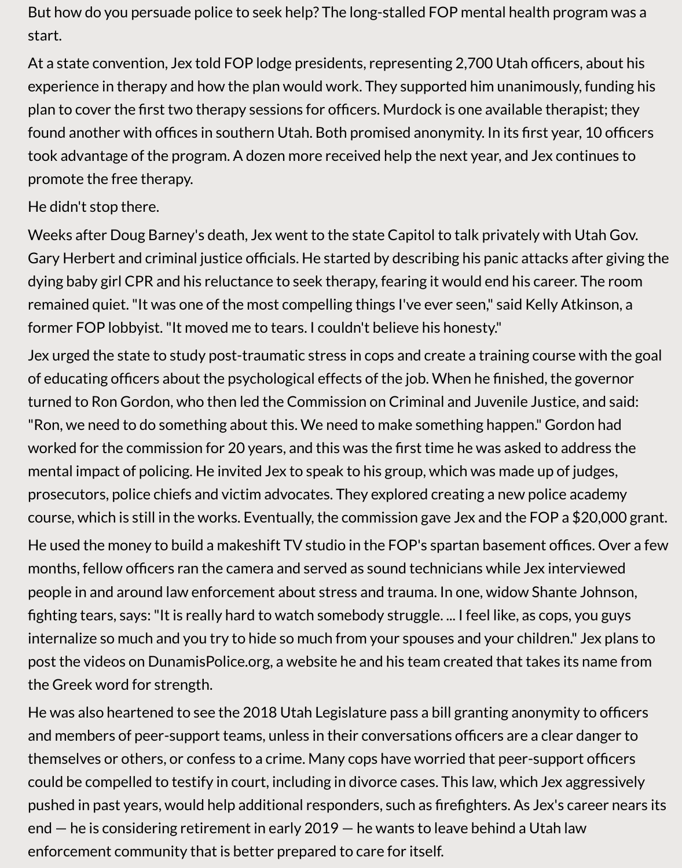But how do you persuade police to seek help? The long-stalled FOP mental health program was a start.

At a state convention, Jex told FOP lodge presidents, representing 2,700 Utah officers, about his experience in therapy and how the plan would work. They supported him unanimously, funding his plan to cover the first two therapy sessions for officers. Murdock is one available therapist; they found another with offices in southern Utah. Both promised anonymity. In its first year, 10 officers took advantage of the program. A dozen more received help the next year, and Jex continues to promote the free therapy.

## He didn't stop there.

Weeks after Doug Barney's death, Jex went to the state Capitol to talk privately with Utah Gov. Gary Herbert and criminal justice officials. He started by describing his panic attacks after giving the dying baby girl CPR and his reluctance to seek therapy, fearing it would end his career. The room remained quiet. "It was one of the most compelling things I've ever seen," said Kelly Atkinson, a former FOP lobbyist. "It moved me to tears. I couldn't believe his honesty."

Jex urged the state to study post-traumatic stress in cops and create a training course with the goal of educating officers about the psychological effects of the job. When he finished, the governor turned to Ron Gordon, who then led the Commission on Criminal and Juvenile Justice, and said: "Ron, we need to do something about this. We need to make something happen." Gordon had worked for the commission for 20 years, and this was the first time he was asked to address the mental impact of policing. He invited Jex to speak to his group, which was made up of judges, prosecutors, police chiefs and victim advocates. They explored creating a new police academy course, which is still in the works. Eventually, the commission gave Jex and the FOP a \$20,000 grant.

He used the money to build a makeshift TV studio in the FOP's spartan basement offices. Over a few months, fellow officers ran the camera and served as sound technicians while Jex interviewed people in and around law enforcement about stress and trauma. In one, widow Shante Johnson, fighting tears, says: "It is really hard to watch somebody struggle. ... I feel like, as cops, you guys internalize so much and you try to hide so much from your spouses and your children." Jex plans to post the videos on DunamisPolice.org, a website he and his team created that takes its name from the Greek word for strength.

He was also heartened to see the 2018 Utah Legislature pass a bill granting anonymity to officers and members of peer-support teams, unless in their conversations officers are a clear danger to themselves or others, or confess to a crime. Many cops have worried that peer-support officers could be compelled to testify in court, including in divorce cases. This law, which Jex aggressively pushed in past years, would help additional responders, such as firefighters. As Jex's career nears its end — he is considering retirement in early 2019 — he wants to leave behind a Utah law enforcement community that is better prepared to care for itself.